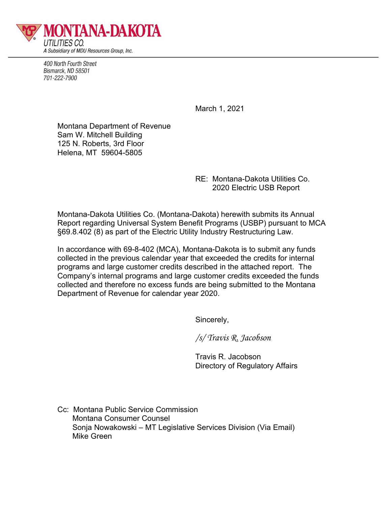

400 North Fourth Street Bismarck, ND 58501 701-222-7900

March 1, 2021

Montana Department of Revenue Sam W. Mitchell Building 125 N. Roberts, 3rd Floor Helena, MT 59604-5805

> RE: Montana-Dakota Utilities Co. 2020 Electric USB Report

Montana-Dakota Utilities Co. (Montana-Dakota) herewith submits its Annual Report regarding Universal System Benefit Programs (USBP) pursuant to MCA §69.8.402 (8) as part of the Electric Utility Industry Restructuring Law.

In accordance with 69-8-402 (MCA), Montana-Dakota is to submit any funds collected in the previous calendar year that exceeded the credits for internal programs and large customer credits described in the attached report. The Company's internal programs and large customer credits exceeded the funds collected and therefore no excess funds are being submitted to the Montana Department of Revenue for calendar year 2020.

Sincerely,

*/s/ Travis R. Jacobson*

Travis R. Jacobson Directory of Regulatory Affairs

Cc: Montana Public Service Commission Montana Consumer Counsel Sonja Nowakowski – MT Legislative Services Division (Via Email) Mike Green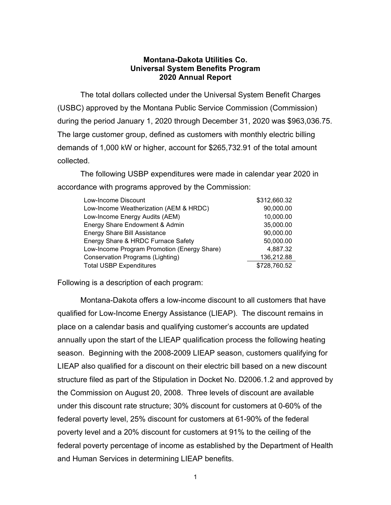## **Montana-Dakota Utilities Co. Universal System Benefits Program 2020 Annual Report**

The total dollars collected under the Universal System Benefit Charges (USBC) approved by the Montana Public Service Commission (Commission) during the period January 1, 2020 through December 31, 2020 was \$963,036.75. The large customer group, defined as customers with monthly electric billing demands of 1,000 kW or higher, account for \$265,732.91 of the total amount collected.

The following USBP expenditures were made in calendar year 2020 in accordance with programs approved by the Commission:

| Low-Income Discount                         | \$312,660.32 |
|---------------------------------------------|--------------|
| Low-Income Weatherization (AEM & HRDC)      | 90,000.00    |
| Low-Income Energy Audits (AEM)              | 10,000.00    |
| Energy Share Endowment & Admin              | 35,000.00    |
| <b>Energy Share Bill Assistance</b>         | 90,000.00    |
| Energy Share & HRDC Furnace Safety          | 50,000.00    |
| Low-Income Program Promotion (Energy Share) | 4,887.32     |
| Conservation Programs (Lighting)            | 136,212.88   |
| <b>Total USBP Expenditures</b>              | \$728,760.52 |

Following is a description of each program:

Montana-Dakota offers a low-income discount to all customers that have qualified for Low-Income Energy Assistance (LIEAP). The discount remains in place on a calendar basis and qualifying customer's accounts are updated annually upon the start of the LIEAP qualification process the following heating season. Beginning with the 2008-2009 LIEAP season, customers qualifying for LIEAP also qualified for a discount on their electric bill based on a new discount structure filed as part of the Stipulation in Docket No. D2006.1.2 and approved by the Commission on August 20, 2008. Three levels of discount are available under this discount rate structure; 30% discount for customers at 0-60% of the federal poverty level, 25% discount for customers at 61-90% of the federal poverty level and a 20% discount for customers at 91% to the ceiling of the federal poverty percentage of income as established by the Department of Health and Human Services in determining LIEAP benefits.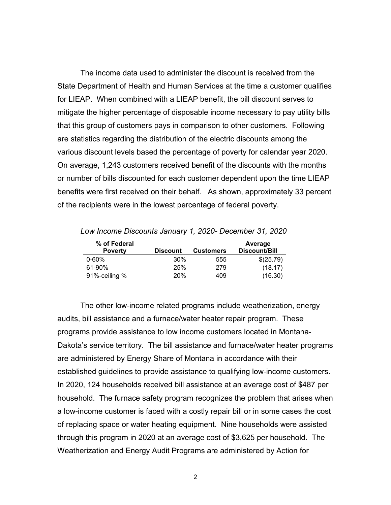The income data used to administer the discount is received from the State Department of Health and Human Services at the time a customer qualifies for LIEAP. When combined with a LIEAP benefit, the bill discount serves to mitigate the higher percentage of disposable income necessary to pay utility bills that this group of customers pays in comparison to other customers. Following are statistics regarding the distribution of the electric discounts among the various discount levels based the percentage of poverty for calendar year 2020. On average, 1,243 customers received benefit of the discounts with the months or number of bills discounted for each customer dependent upon the time LIEAP benefits were first received on their behalf. As shown, approximately 33 percent of the recipients were in the lowest percentage of federal poverty.

*Low Income Discounts January 1, 2020- December 31, 2020*

| % of Federal   |                 |                  | Average       |
|----------------|-----------------|------------------|---------------|
| <b>Poverty</b> | <b>Discount</b> | <b>Customers</b> | Discount/Bill |
| $0 - 60\%$     | 30%             | 555              | \$(25.79)     |
| 61-90%         | 25%             | 279              | (18.17)       |
| 91%-ceiling %  | 20 <sup>%</sup> | 409              | (16.30)       |

The other low-income related programs include weatherization, energy audits, bill assistance and a furnace/water heater repair program. These programs provide assistance to low income customers located in Montana-Dakota's service territory. The bill assistance and furnace/water heater programs are administered by Energy Share of Montana in accordance with their established guidelines to provide assistance to qualifying low-income customers. In 2020, 124 households received bill assistance at an average cost of \$487 per household. The furnace safety program recognizes the problem that arises when a low-income customer is faced with a costly repair bill or in some cases the cost of replacing space or water heating equipment. Nine households were assisted through this program in 2020 at an average cost of \$3,625 per household. The Weatherization and Energy Audit Programs are administered by Action for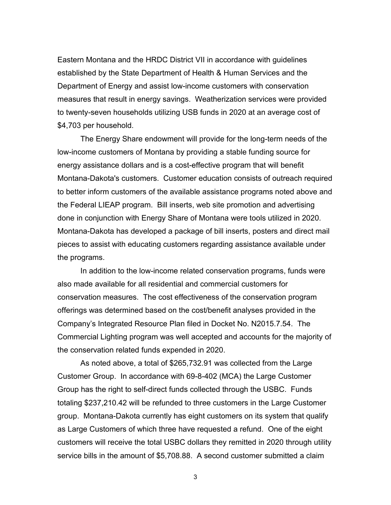Eastern Montana and the HRDC District VII in accordance with guidelines established by the State Department of Health & Human Services and the Department of Energy and assist low-income customers with conservation measures that result in energy savings. Weatherization services were provided to twenty-seven households utilizing USB funds in 2020 at an average cost of \$4,703 per household.

The Energy Share endowment will provide for the long-term needs of the low-income customers of Montana by providing a stable funding source for energy assistance dollars and is a cost-effective program that will benefit Montana-Dakota's customers. Customer education consists of outreach required to better inform customers of the available assistance programs noted above and the Federal LIEAP program. Bill inserts, web site promotion and advertising done in conjunction with Energy Share of Montana were tools utilized in 2020. Montana-Dakota has developed a package of bill inserts, posters and direct mail pieces to assist with educating customers regarding assistance available under the programs.

In addition to the low-income related conservation programs, funds were also made available for all residential and commercial customers for conservation measures. The cost effectiveness of the conservation program offerings was determined based on the cost/benefit analyses provided in the Company's Integrated Resource Plan filed in Docket No. N2015.7.54. The Commercial Lighting program was well accepted and accounts for the majority of the conservation related funds expended in 2020.

As noted above, a total of \$265,732.91 was collected from the Large Customer Group. In accordance with 69-8-402 (MCA) the Large Customer Group has the right to self-direct funds collected through the USBC. Funds totaling \$237,210.42 will be refunded to three customers in the Large Customer group. Montana-Dakota currently has eight customers on its system that qualify as Large Customers of which three have requested a refund. One of the eight customers will receive the total USBC dollars they remitted in 2020 through utility service bills in the amount of \$5,708.88. A second customer submitted a claim

3